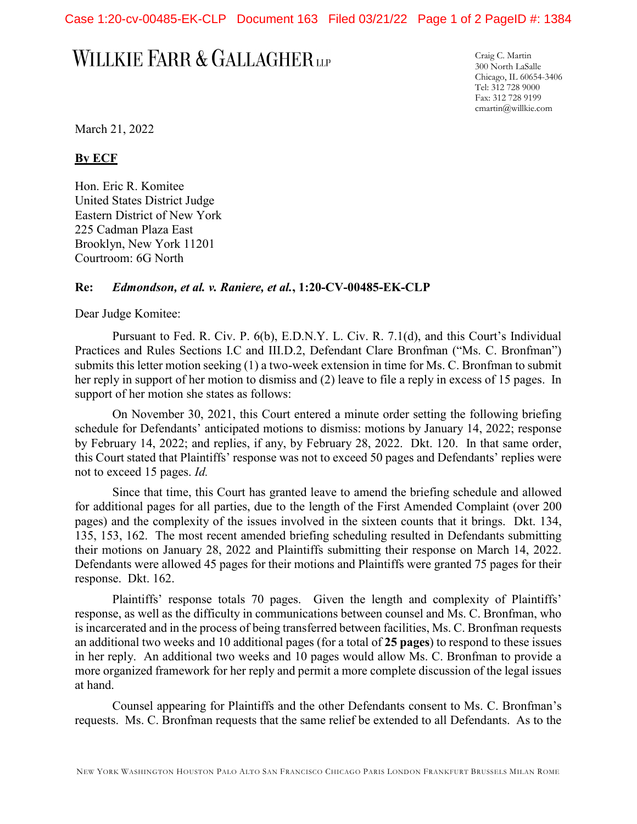Case 1:20-cv-00485-EK-CLP Document 163 Filed 03/21/22 Page 1 of 2 PageID #: 1384

## WILLKIE FARR & GALLAGHER LLP

Craig C. Martin 300 North LaSalle Chicago, IL 60654-3406 Tel: 312 728 9000 Fax: 312 728 9199 cmartin@willkie.com

March 21, 2022

## **By ECF**

Hon. Eric R. Komitee United States District Judge Eastern District of New York 225 Cadman Plaza East Brooklyn, New York 11201 Courtroom: 6G North

## **Re:** *Edmondson, et al. v. Raniere, et al.***, 1:20-CV-00485-EK-CLP**

Dear Judge Komitee:

Pursuant to Fed. R. Civ. P. 6(b), E.D.N.Y. L. Civ. R. 7.1(d), and this Court's Individual Practices and Rules Sections I.C and III.D.2, Defendant Clare Bronfman ("Ms. C. Bronfman") submits this letter motion seeking (1) a two-week extension in time for Ms. C. Bronfman to submit her reply in support of her motion to dismiss and (2) leave to file a reply in excess of 15 pages. In support of her motion she states as follows:

On November 30, 2021, this Court entered a minute order setting the following briefing schedule for Defendants' anticipated motions to dismiss: motions by January 14, 2022; response by February 14, 2022; and replies, if any, by February 28, 2022. Dkt. 120. In that same order, this Court stated that Plaintiffs' response was not to exceed 50 pages and Defendants' replies were not to exceed 15 pages. *Id.*

Since that time, this Court has granted leave to amend the briefing schedule and allowed for additional pages for all parties, due to the length of the First Amended Complaint (over 200 pages) and the complexity of the issues involved in the sixteen counts that it brings. Dkt. 134, 135, 153, 162. The most recent amended briefing scheduling resulted in Defendants submitting their motions on January 28, 2022 and Plaintiffs submitting their response on March 14, 2022. Defendants were allowed 45 pages for their motions and Plaintiffs were granted 75 pages for their response. Dkt. 162.

Plaintiffs' response totals 70 pages. Given the length and complexity of Plaintiffs' response, as well as the difficulty in communications between counsel and Ms. C. Bronfman, who is incarcerated and in the process of being transferred between facilities, Ms. C. Bronfman requests an additional two weeks and 10 additional pages (for a total of **25 pages**) to respond to these issues in her reply. An additional two weeks and 10 pages would allow Ms. C. Bronfman to provide a more organized framework for her reply and permit a more complete discussion of the legal issues at hand.

Counsel appearing for Plaintiffs and the other Defendants consent to Ms. C. Bronfman's requests. Ms. C. Bronfman requests that the same relief be extended to all Defendants. As to the